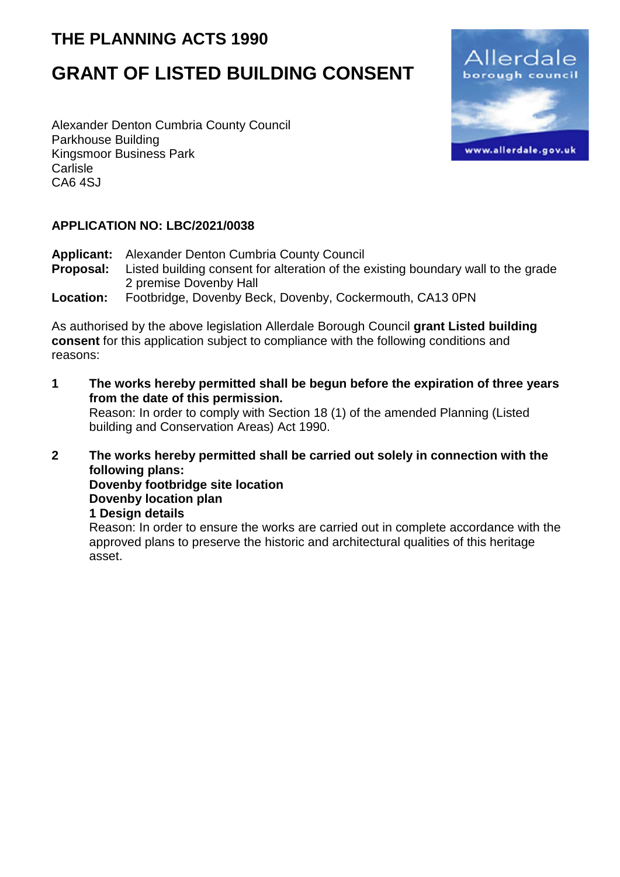## **THE PLANNING ACTS 1990**

# **GRANT OF LISTED BUILDING CONSENT**

Alexander Denton Cumbria County Council Parkhouse Building Kingsmoor Business Park Carlisle CA6 4SJ



#### **APPLICATION NO: LBC/2021/0038**

Applicant: Alexander Denton Cumbria County Council<br>**Proposal:** Listed building consent for alteration of the e Listed building consent for alteration of the existing boundary wall to the grade 2 premise Dovenby Hall **Location:** Footbridge, Dovenby Beck, Dovenby, Cockermouth, CA13 0PN

As authorised by the above legislation Allerdale Borough Council **grant Listed building consent** for this application subject to compliance with the following conditions and reasons:

**1 The works hereby permitted shall be begun before the expiration of three years from the date of this permission.** Reason: In order to comply with Section 18 (1) of the amended Planning (Listed building and Conservation Areas) Act 1990.

**2 The works hereby permitted shall be carried out solely in connection with the following plans: Dovenby footbridge site location Dovenby location plan 1 Design details**  Reason: In order to ensure the works are carried out in complete accordance with the

approved plans to preserve the historic and architectural qualities of this heritage asset.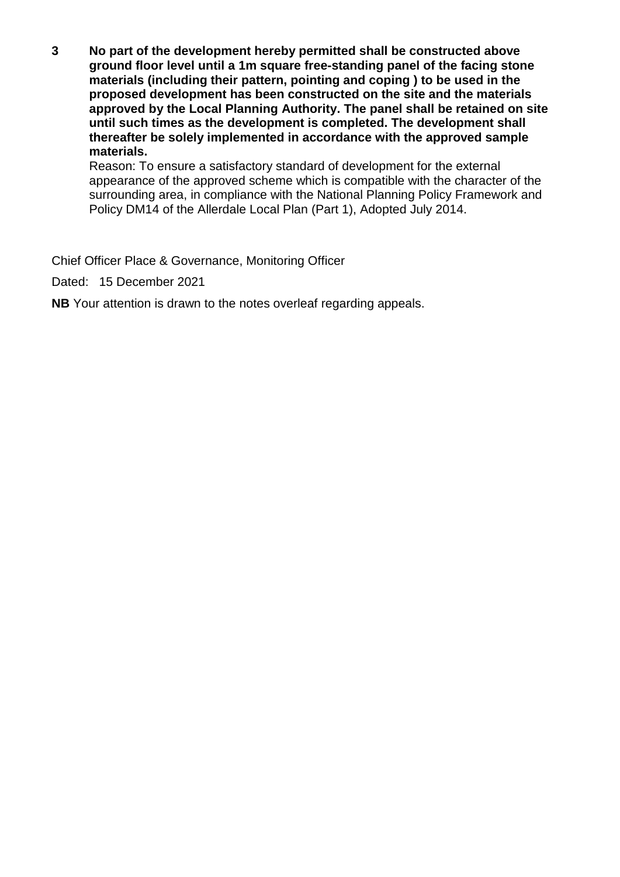**3 No part of the development hereby permitted shall be constructed above ground floor level until a 1m square free-standing panel of the facing stone materials (including their pattern, pointing and coping ) to be used in the proposed development has been constructed on the site and the materials approved by the Local Planning Authority. The panel shall be retained on site until such times as the development is completed. The development shall thereafter be solely implemented in accordance with the approved sample materials.**

Reason: To ensure a satisfactory standard of development for the external appearance of the approved scheme which is compatible with the character of the surrounding area, in compliance with the National Planning Policy Framework and Policy DM14 of the Allerdale Local Plan (Part 1), Adopted July 2014.

Chief Officer Place & Governance, Monitoring Officer

Dated: 15 December 2021

**NB** Your attention is drawn to the notes overleaf regarding appeals.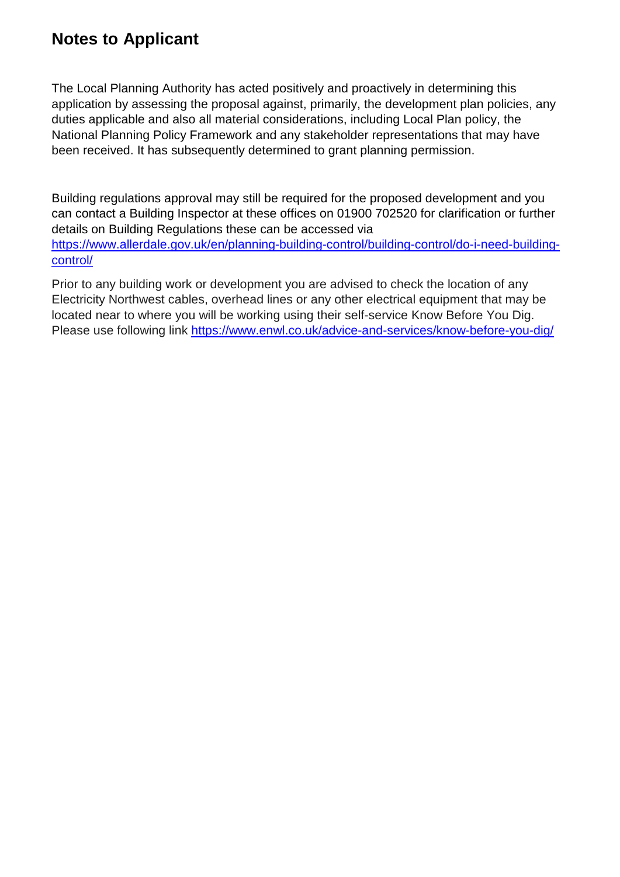### **Notes to Applicant**

The Local Planning Authority has acted positively and proactively in determining this application by assessing the proposal against, primarily, the development plan policies, any duties applicable and also all material considerations, including Local Plan policy, the National Planning Policy Framework and any stakeholder representations that may have been received. It has subsequently determined to grant planning permission.

Building regulations approval may still be required for the proposed development and you can contact a Building Inspector at these offices on 01900 702520 for clarification or further details on Building Regulations these can be accessed via [https://www.allerdale.gov.uk/en/planning-building-control/building-control/do-i-need-building](https://www.allerdale.gov.uk/en/planning-building-control/building-control/do-i-need-building-control/)[control/](https://www.allerdale.gov.uk/en/planning-building-control/building-control/do-i-need-building-control/)

Prior to any building work or development you are advised to check the location of any Electricity Northwest cables, overhead lines or any other electrical equipment that may be located near to where you will be working using their self-service Know Before You Dig. Please use following link <https://www.enwl.co.uk/advice-and-services/know-before-you-dig/>